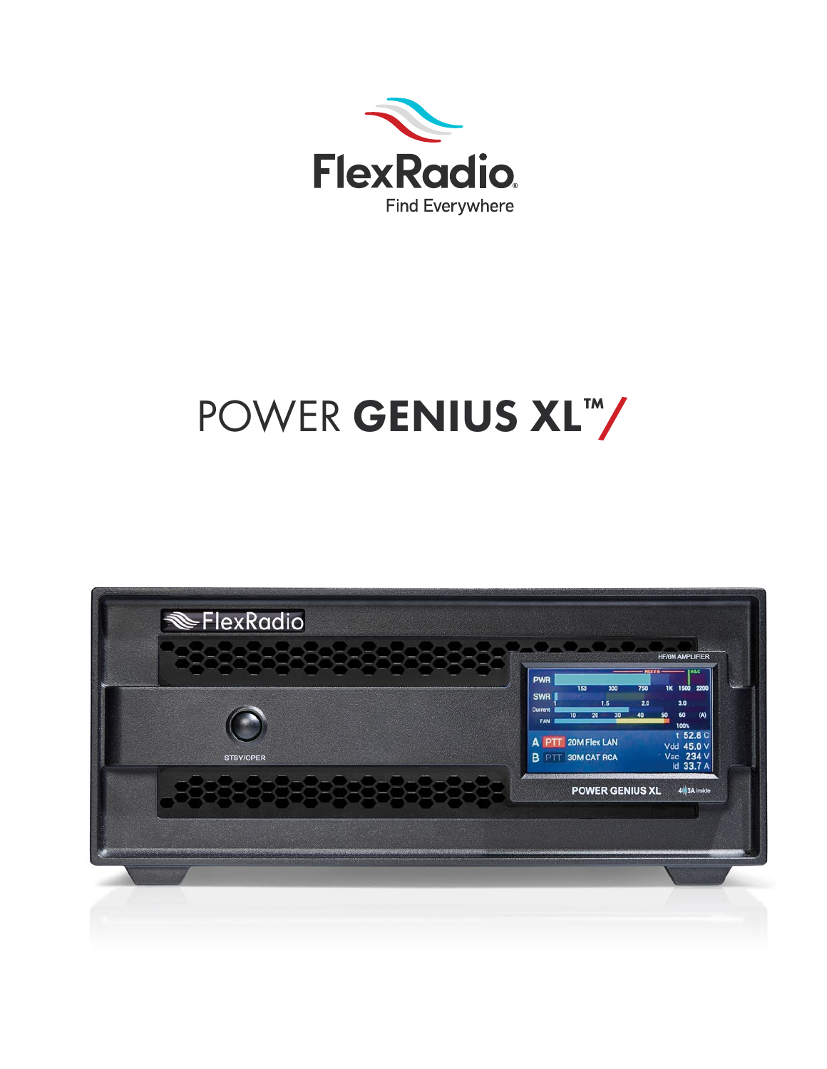

# POWER GENIUS XL™

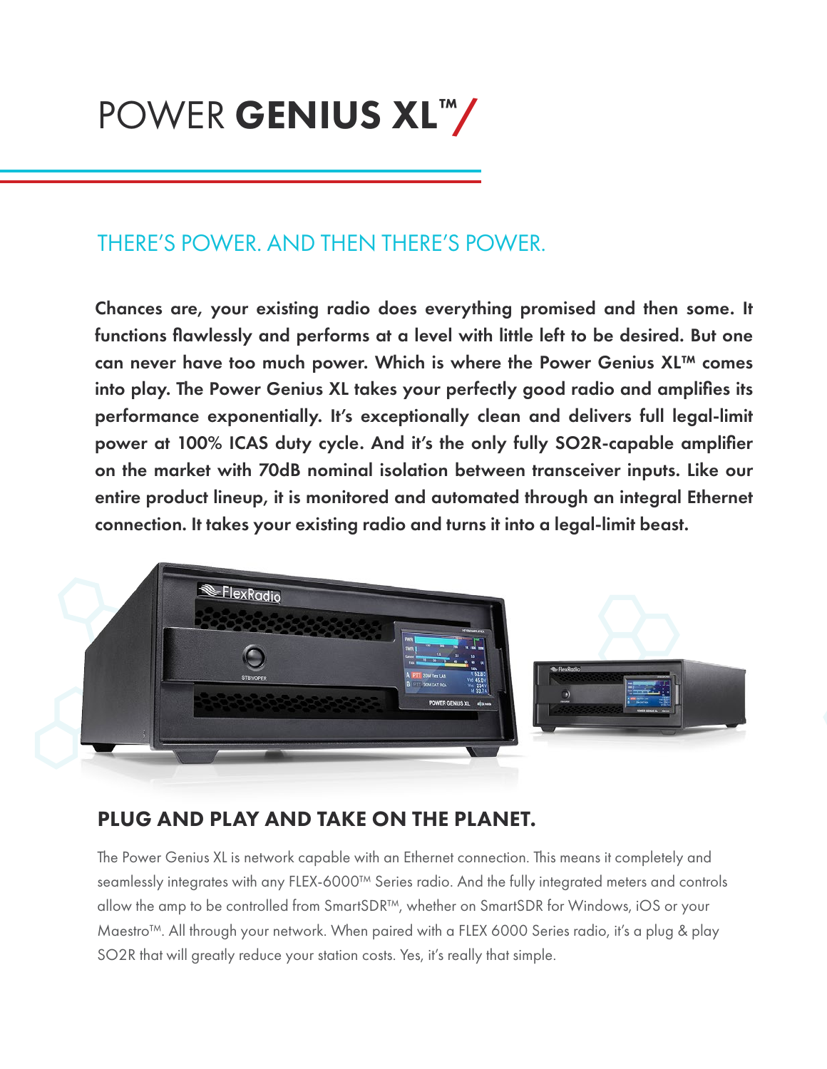## POWER GENIUS XL™/

## THERE'S POWER. AND THEN THERE'S POWER.

Chances are, your existing radio does everything promised and then some. It functions flawlessly and performs at a level with little left to be desired. But one can never have too much power. Which is where the Power Genius XL™ comes into play. The Power Genius XL takes your perfectly good radio and amplifies its performance exponentially. It's exceptionally clean and delivers full legal-limit power at 100% ICAS duty cycle. And it's the only fully SO2R-capable amplifier on the market with 70dB nominal isolation between transceiver inputs. Like our entire product lineup, it is monitored and automated through an integral Ethernet connection. It takes your existing radio and turns it into a legal-limit beast.



## PLUG AND PLAY AND TAKE ON THE PLANET.

The Power Genius XL is network capable with an Ethernet connection. This means it completely and seamlessly integrates with any FLEX-6000™ Series radio. And the fully integrated meters and controls allow the amp to be controlled from SmartSDR™, whether on SmartSDR for Windows, iOS or your Maestro™. All through your network. When paired with a FLEX 6000 Series radio, it's a plug & play SO2R that will greatly reduce your station costs. Yes, it's really that simple.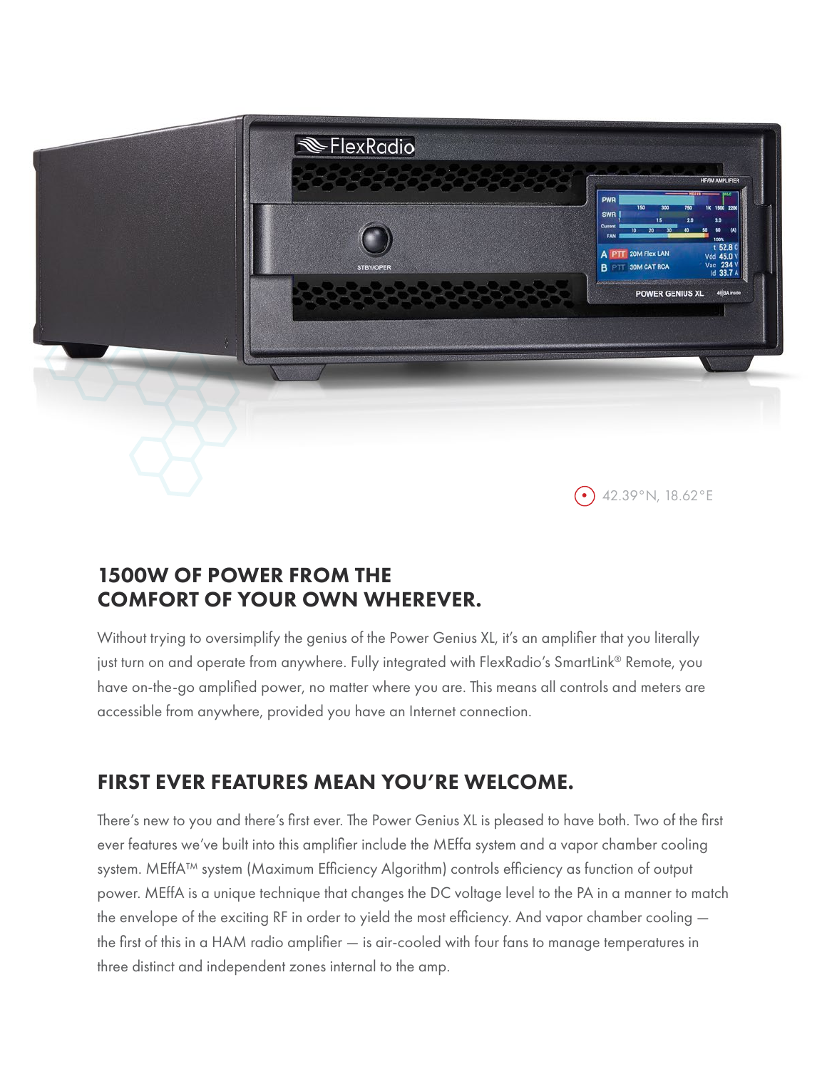

## 1500W OF POWER FROM THE COMFORT OF YOUR OWN WHEREVER.

Without trying to oversimplify the genius of the Power Genius XL, it's an amplifier that you literally just turn on and operate from anywhere. Fully integrated with FlexRadio's SmartLink® Remote, you have on-the-go amplified power, no matter where you are. This means all controls and meters are accessible from anywhere, provided you have an Internet connection.

## FIRST EVER FEATURES MEAN YOU'RE WELCOME.

There's new to you and there's first ever. The Power Genius XL is pleased to have both. Two of the first ever features we've built into this amplifier include the MEffa system and a vapor chamber cooling system. MEffA™ system (Maximum Efficiency Algorithm) controls efficiency as function of output power. MEffA is a unique technique that changes the DC voltage level to the PA in a manner to match the envelope of the exciting RF in order to yield the most efficiency. And vapor chamber cooling the first of this in a HAM radio amplifier — is air-cooled with four fans to manage temperatures in three distinct and independent zones internal to the amp.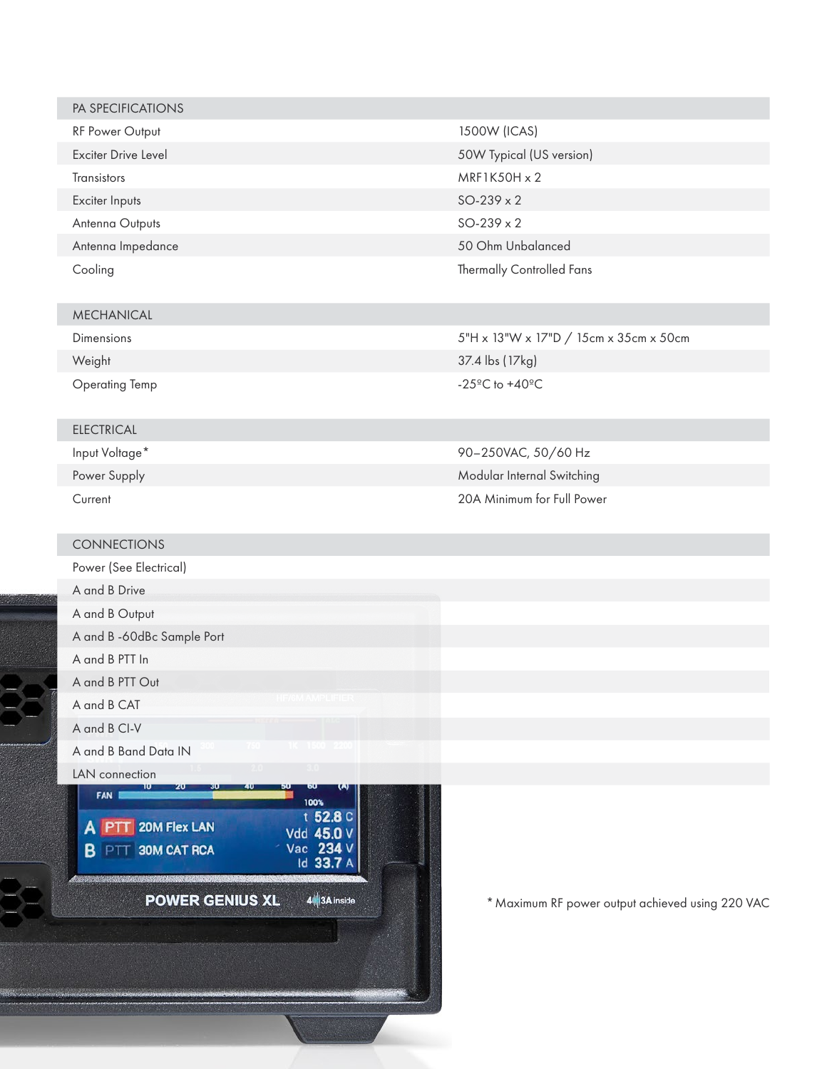| PA SPECIFICATIONS          |                           |
|----------------------------|---------------------------|
| <b>RF Power Output</b>     | 1500W (ICAS)              |
| <b>Exciter Drive Level</b> | 50W Typical (US version)  |
| <b>Transistors</b>         | $MRF1K50H \times 2$       |
| Exciter Inputs             | $SO-239 \times 2$         |
| Antenna Outputs            | $SO-239 \times 2$         |
| Antenna Impedance          | 50 Ohm Unbalanced         |
| Cooling                    | Thermally Controlled Fans |

#### MECHANICAL

Dimensions

Weight

Γ

Operating Temp

#### ELECTRICAL

Input Voltage\* Power Supply Current

#### CONNECTIONS

Power (See Electrical) A and B Drive A and B Output A and B -60dBc Sample Port

A and B PTT In A and B PTT Out

A and B CAT

A and B CI-V

A and B Band Data IN

#### LAN connection

FAN I A PTT 20M Flex LAN **B** PTT **30M CAT RCA** 

100% t 52.8 C Vdd 45.0 V<br>Vac 234 V<br>Id 33.7 A

4 3A inside

**POWER GENIUS XL** 

\* Maximum RF power output achieved using 220 VAC

Modular Internal Switching 20A Minimum for Full Power

37.4 lbs (17kg) -25ºC to +40ºC

90–250VAC, 50/60 Hz

5"H x 13"W x 17"D / 15cm x 35cm x 50cm